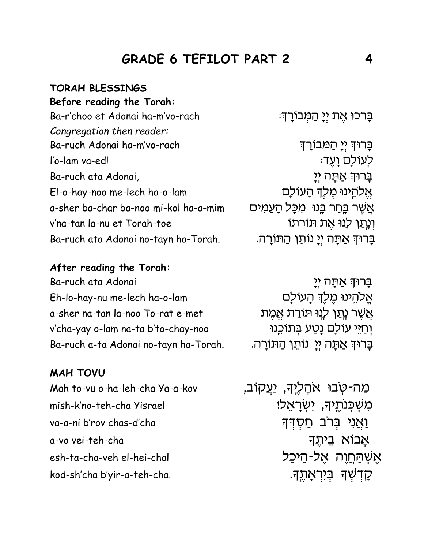# **GRADE 6 TEFILOT PART 2 4**

# **TORAH BLESSINGS**

# **Before reading the Torah:**

Ba-r'choo et Adonai ha-m'vo-rach :Kx¨FaO§ d© ¨ii§ z`¤ EkxA¨ *Congregation then reader:* Ea-ruch Adonai ha-m'vo-rach يَافِر اللهِ تَجْمَعَةِ Ba-ruch Adonai ha-m'vo-rach l'o-lam va-ed! :cr¤e¨m¨lFrl§ Ba-ruch ata Adonai, ¨ii§ dY¨`© KExA¨ El-o-hay-noo me-lech ha-o-lam يعלהֱינוּ מֵלְךְ הָעוֹלַם a-sher ba-char ba-noo mi-kol ha-a-mim mi v'na-tan la-nu et Torah-toe FzxFY z`¤ Ep¨l oz©«¨pe§ Ba-ruch ata Adonai no-tayn ha-Torah. בַּרוּדְ אֲתֵּה יְיָ נוֹתֵן הַתּוֹרָה.  $\Xi$ 

# **After reading the Torah:**

בּרוּדְ אַתַּה יִיַ $\Xi$   $\Xi$ Eh-lo-hay-nu me-lech ha-o-lam m¨lFrd¨ K¤ln¤ Epid«¥Ÿl`¡ a-sher na-tan la-noo To-rat e-met מֵכְתַן לַנְוּ תּוֹרַת אֱמֶת v'cha-yay o-lam na-ta b'to-chay-noo וחֵי עולָם נַטֲע בְּתוֹכֵנוּ Ba-ruch a-ta Adonai no-tayn ha-Torah. בְּרוּךְ אֲתָה יְיָ נוֹתְן הַתּוֹרָה

### **MAH TOVU**

mish-k'no-teh-cha Yisrael !l`¥ x¨U§ i¦ ,Liz«¤ŸpM§ W§ n¦ va-a-ni b'rov chas-d'cha <u>Ig</u>@§ ip}} קאֲנִי בִרבׁ a-vo vei-teh-cha يوني جون به المستخدم به المستخدم به المستخدم به المستخدم به المستخدم به المستخدم به المستخدم esh-ta-cha-veh el-hei-chal يجשְׁהַחֲוֶה אֱל-הֵיכֲל kod-sh'cha b'yir-a-teh-cha. .Lz«¤`¨ x§i¦A§ LW§ c§w¨

Mah to-vu o-ha-leh-cha Ya-a-kov ,מַה־פַֿבו אַהָלִיךָ, יַעֲקוֹב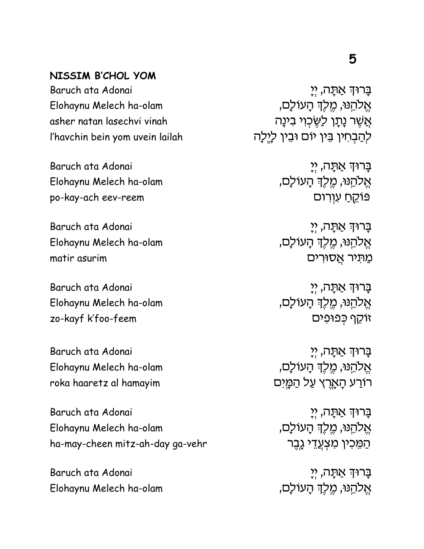# **5**

### **NISSIM B'CHOL YOM**

בּרוּדְ אַתֲה, יִי יַ $\mathbb{P}$  ,  $\mathbb{P}$  (?  $\mathbb{E}$ Elohaynu Melech ha-olam ,m¨lFrd¨ K¤ln«¤ ,EPd«¥Ÿl`¡ asher natan lasechvi vinah מֵשֻׁר לַשֵּׂכִוִי בִינַה l'havchin bein yom uvein lailah diasa diasa dia diak dipatasa dia domin dia domini dia domini dia k

בּרוּדְ אַתֲה, יַיֲ Elohaynu Melech ha-olam ,m¨lFrd¨ K¤ln«¤ ,EPd«¥Ÿl`¡ po-kay-ach eev-reem mex{ex}} go=kay-ach eev-reem

בּרוּדְ אַתֲה, יִי יַה ה־ii§ , אֲתֶה, יִי Elohaynu Melech ha-olam ,m¨lFrd¨ K¤ln«¤ ,EPd«¥Ÿl`¡ matir asurim يونيز بين الصحيح الصحيح الصحيح الصحيح الصحيح الصحيح الصحيح الصحيح الصحيح الصحيح الصحيح الصحيح الص

בְּרוּדְ אַתְּה, יְיָ $\frac{1}{2}$  (? הוא הואפ Elohaynu Melech ha-olam ,m¨lFrd¨ K¤ln«¤ ,EPd«¥Ÿl`¡ zo-kayf k'foo-feem וֹקֵף כְּפוּפִים

Elohaynu Melech ha-olam ,m¨lFrd¨ K¤ln«¤ ,EPd«¥Ÿl`¡ roka haaretz al hamayim רוֹרַע הַאֲרֵץ עַל הַמֵּיִּם

בּרוּדְ אַתֲה, יַיֲ Elohaynu Melech ha-olam ,m¨lFrd¨ K¤ln«¤ ,EPd«¥Ÿl`¡ ha-may-cheen mitz-ah-day ga-vehr הַמֵּכִין מִצְעֲדֵי גֵבֵר

בּרוּדְ אַתֲה, יִי יַ $\mathbb{P}$  ,  $\mathbb{P}$ Elohaynu Melech ha-olam ,m¨lFrd¨ K¤ln«¤ ,EPd«¥Ÿl`¡

בְּרוּדְ אַתְּה, יְיָ יוֹיִם ה־Baruch ata Adonai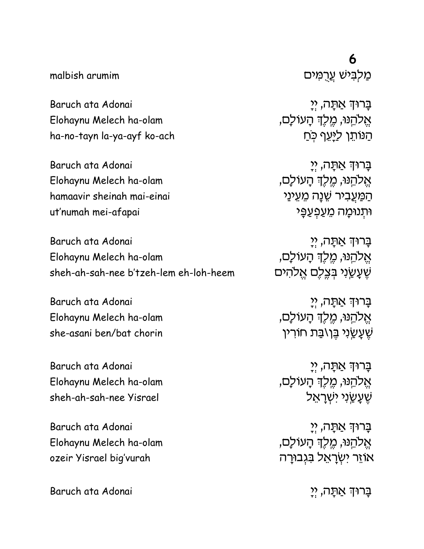# **6**

malbish arumim يوَ الله الصحيح المسترج المستحدث المستحدث المستحدث المستحدث المستحدث المستحدث المستحدث المستحدث

בּרוּדְ אַתֲה, יַיֲ

בְּרוּדְ אַתְּה, יְיָ Elohaynu Melech ha-olam ,m¨lFrd¨ K¤ln«¤ ,EPd«¥Ÿl`¡ ha-no-tayn la-ya-ayf ko-ach הַנּוֹתֵן לַיַּעֵף כִּחַ

בְּרוּדְ אֲתֲה, יַיֲ $\frac{1}{2}$ אֲלֹהֱנּוּ, מֵלֶךְ הַעוֹלַם, ו־Lohaynu Melech ha-olam hamaavir sheinah mai-einai inwww direwa ipmaavir <del>bir</del> ut'numah mei-afapai iR¨r©n⊗n§ en enimah mei-afapai

בּרוּדְ אַתֲה, יִי יַה ה־ii§ , אֲתֶה, יִי Elohaynu Melech ha-olam ,m¨lFrd¨ K¤ln«¤ ,EPd«¥Ÿl`¡ sheh-ah-sah-nee b'tzeh-lem eh-loh-heem mid{\mid}} שֵׁעֲשֲׂנִי בִּצֵלֶם אֱלֹהִים

בּרוּדְ אַתֲה, יַיֲ Elohaynu Melech ha-olam ,m¨lFrd¨ K¤ln«¤ ,EPd«¥Ÿl`¡ she-asani ben/bat chorin in oixin ip $\mathcal{F}$ לעשׂני בוּ\בַת חוֹריו

בּרוּדְ אַתַּה, יִי יַ $\mathbb{P}$  ,  $\mathbb{P}$  (  $\mathbb{P}$ Elohaynu Melech ha-olam ,m¨lFrd¨ K¤ln«¤ ,EPd«¥Ÿl`¡ sheh-ah-sah-nee Yisrael l`¥ x¨W§ i¦ ip¦U«© r¨W¤

Elohaynu Melech ha-olam ,m¨lFrd¨ K¤ln«¤ ,EPd«¥Ÿl`¡ ozeir Yisrael big'vurah *מֹוֹיָר יִשְׂרַאֵל בִּגְבוּרַה* 

ברוך אתה, ייַ ה Baruch ata Adonai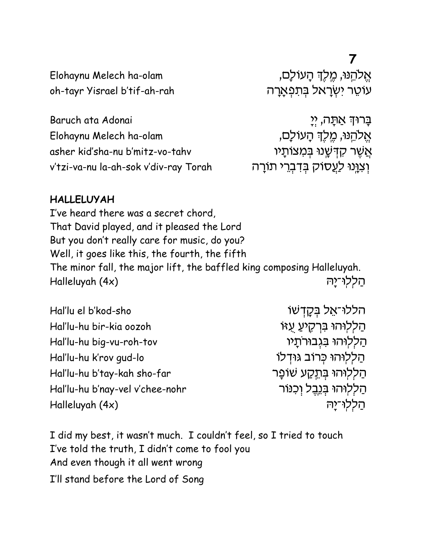Elohaynu Melech ha-olam oh-tayr Yisrael b'tif-ah-rah

Baruch ata Adonai Elohaynu Melech ha-olam asher kid'sha-nu b'mitz-vo-tahv v'tzi-va-nu la-ah-sok v'div-ray Torah

אֲלהֵנּוּ, מֵלֵךְ הַעוֹלַם, עוֹטֶר ישׂרַאל בּתפִאַרה

 $\overline{\mathbf{z}}$ 

ַבְרוּךְ אַתָּה, יִי אֵלהֵנּוּ, מֵלֶךְ הָעוֹלָם, אַשֶׁר קִדְּשֵׁנוּ בִּמְצוֹתֵיו וְצְוֵּנוּ לַעֲסוֹק בִּדְבְרֵי תוֹרַה

# **HALLELUYAH**

I've heard there was a secret chord, That David played, and it pleased the Lord But you don't really care for music, do you? Well, it goes like this, the fourth, the fifth The minor fall, the major lift, the baffled king composing Halleluyah. הללו־יה Halleluyah (4x)

Hal'lu el b'kod-sho Hal'lu-hu bir-kia oozoh Hal'lu-hu big-vu-roh-tov Hal'lu-hu k'rov gud-lo Hal'lu-hu b'tay-kah sho-far Hal'lu-hu b'nay-vel v'chee-nohr Halleluyah (4x)

הללוּ־אֵל בְּקָדְשׁוֹ הַלְלִוּהוּ בִּרְקֵיעַ עָזוֹ הַלְלוּהוּ בּגְבוּרתַיו הַלְלוּהוּ כְּרוּב גּוּדְלו הַלְלִוּהוּ בְּתֵקַע שׁוֹפָר הללוּהוּ בִּנְבֵל וְכִנּוֹר הללו־יה

I did my best, it wasn't much. I couldn't feel, so I tried to touch I've told the truth, I didn't come to fool you And even though it all went wrong I'll stand before the Lord of Song